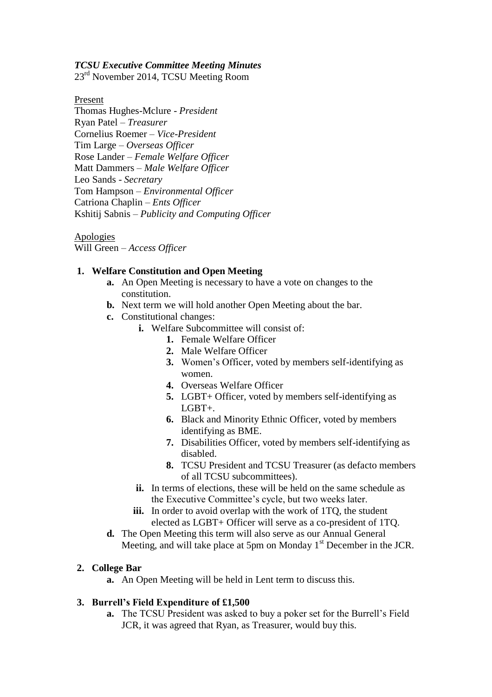#### *TCSU Executive Committee Meeting Minutes*

23<sup>rd</sup> November 2014, TCSU Meeting Room

Present

Thomas Hughes-Mclure - *President* Ryan Patel – *Treasurer* Cornelius Roemer – *Vice-President* Tim Large – *Overseas Officer* Rose Lander – *Female Welfare Officer* Matt Dammers – *Male Welfare Officer* Leo Sands - *Secretary* Tom Hampson – *Environmental Officer* Catriona Chaplin – *Ents Officer* Kshitij Sabnis – *Publicity and Computing Officer*

Apologies

Will Green – *Access Officer*

#### **1. Welfare Constitution and Open Meeting**

- **a.** An Open Meeting is necessary to have a vote on changes to the constitution.
- **b.** Next term we will hold another Open Meeting about the bar.
- **c.** Constitutional changes:
	- **i.** Welfare Subcommittee will consist of:
		- **1.** Female Welfare Officer
		- **2.** Male Welfare Officer
		- **3.** Women's Officer, voted by members self-identifying as women.
		- **4.** Overseas Welfare Officer
		- **5.** LGBT+ Officer, voted by members self-identifying as LGBT+.
		- **6.** Black and Minority Ethnic Officer, voted by members identifying as BME.
		- **7.** Disabilities Officer, voted by members self-identifying as disabled.
		- **8.** TCSU President and TCSU Treasurer (as defacto members of all TCSU subcommittees).
	- **ii.** In terms of elections, these will be held on the same schedule as the Executive Committee's cycle, but two weeks later.
	- iii. In order to avoid overlap with the work of 1TQ, the student elected as LGBT+ Officer will serve as a co-president of 1TQ.
- **d.** The Open Meeting this term will also serve as our Annual General Meeting, and will take place at 5pm on Monday  $1<sup>st</sup>$  December in the JCR.

# **2. College Bar**

**a.** An Open Meeting will be held in Lent term to discuss this.

# **3. Burrell's Field Expenditure of £1,500**

**a.** The TCSU President was asked to buy a poker set for the Burrell's Field JCR, it was agreed that Ryan, as Treasurer, would buy this.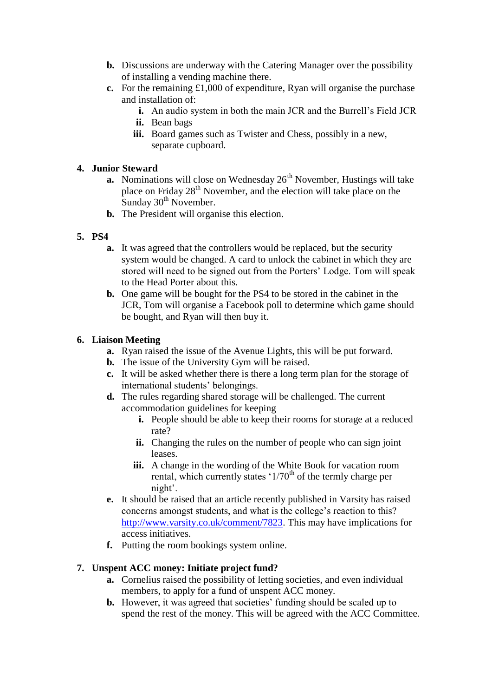- **b.** Discussions are underway with the Catering Manager over the possibility of installing a vending machine there.
- **c.** For the remaining £1,000 of expenditure, Ryan will organise the purchase and installation of:
	- **i.** An audio system in both the main JCR and the Burrell's Field JCR
	- **ii.** Bean bags
	- **iii.** Board games such as Twister and Chess, possibly in a new, separate cupboard.

# **4. Junior Steward**

- **a.** Nominations will close on Wednesday  $26<sup>th</sup>$  November, Hustings will take place on Friday 28<sup>th</sup> November, and the election will take place on the Sunday  $30<sup>th</sup>$  November.
- **b.** The President will organise this election.

# **5. PS4**

- **a.** It was agreed that the controllers would be replaced, but the security system would be changed. A card to unlock the cabinet in which they are stored will need to be signed out from the Porters' Lodge. Tom will speak to the Head Porter about this.
- **b.** One game will be bought for the PS4 to be stored in the cabinet in the JCR, Tom will organise a Facebook poll to determine which game should be bought, and Ryan will then buy it.

# **6. Liaison Meeting**

- **a.** Ryan raised the issue of the Avenue Lights, this will be put forward.
- **b.** The issue of the University Gym will be raised.
- **c.** It will be asked whether there is there a long term plan for the storage of international students' belongings.
- **d.** The rules regarding shared storage will be challenged. The current accommodation guidelines for keeping
	- **i.** People should be able to keep their rooms for storage at a reduced rate?
	- **ii.** Changing the rules on the number of people who can sign joint leases.
	- **iii.** A change in the wording of the White Book for vacation room rental, which currently states  $1/70<sup>th</sup>$  of the termly charge per night'.
- **e.** It should be raised that an article recently published in Varsity has raised concerns amongst students, and what is the college's reaction to this? [http://www.varsity.co.uk/comment/7823.](http://www.varsity.co.uk/comment/7823) This may have implications for access initiatives.
- **f.** Putting the room bookings system online.

# **7. Unspent ACC money: Initiate project fund?**

- **a.** Cornelius raised the possibility of letting societies, and even individual members, to apply for a fund of unspent ACC money.
- **b.** However, it was agreed that societies' funding should be scaled up to spend the rest of the money. This will be agreed with the ACC Committee.